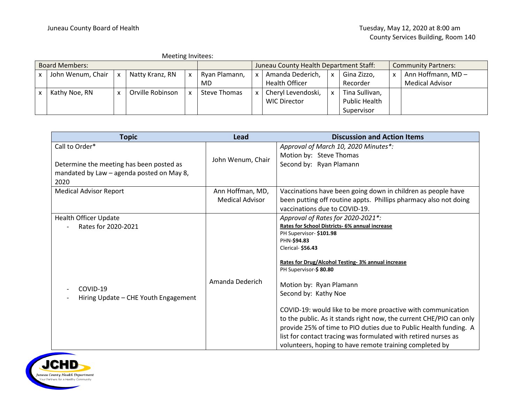|                       | Meeting Invitees: |   |                  |  |                                        |  |                     |   |                            |   |                        |
|-----------------------|-------------------|---|------------------|--|----------------------------------------|--|---------------------|---|----------------------------|---|------------------------|
| <b>Board Members:</b> |                   |   |                  |  | Juneau County Health Department Staff: |  |                     |   | <b>Community Partners:</b> |   |                        |
|                       | John Wenum, Chair | x | Natty Kranz, RN  |  | Ryan Plamann,                          |  | Amanda Dederich,    | x | Gina Zizzo,                | X | Ann Hoffmann, MD-      |
|                       |                   |   |                  |  | MD                                     |  | Health Officer      |   | Recorder                   |   | <b>Medical Advisor</b> |
|                       | Kathy Noe, RN     |   | Orville Robinson |  | Steve Thomas                           |  | Cheryl Levendoski,  | X | Tina Sullivan,             |   |                        |
|                       |                   |   |                  |  |                                        |  | <b>WIC Director</b> |   | <b>Public Health</b>       |   |                        |
|                       |                   |   |                  |  |                                        |  |                     |   | Supervisor                 |   |                        |

| <b>Topic</b>                                                                                                    | Lead                                       | <b>Discussion and Action Items</b>                                                                                                                                                                                                                                                                                                                            |
|-----------------------------------------------------------------------------------------------------------------|--------------------------------------------|---------------------------------------------------------------------------------------------------------------------------------------------------------------------------------------------------------------------------------------------------------------------------------------------------------------------------------------------------------------|
| Call to Order*<br>Determine the meeting has been posted as<br>mandated by Law - agenda posted on May 8,<br>2020 | John Wenum, Chair                          | Approval of March 10, 2020 Minutes*:<br>Motion by: Steve Thomas<br>Second by: Ryan Plamann                                                                                                                                                                                                                                                                    |
| <b>Medical Advisor Report</b>                                                                                   | Ann Hoffman, MD,<br><b>Medical Advisor</b> | Vaccinations have been going down in children as people have<br>been putting off routine appts. Phillips pharmacy also not doing<br>vaccinations due to COVID-19.                                                                                                                                                                                             |
| Health Officer Update<br>Rates for 2020-2021<br>COVID-19                                                        | Amanda Dederich                            | Approval of Rates for 2020-2021*:<br>Rates for School Districts- 6% annual increase<br>PH Supervisor-\$101.98<br>PHN-\$94.83<br>Clerical- \$56.43<br>Rates for Drug/Alcohol Testing- 3% annual increase<br>PH Supervisor-\$80.80<br>Motion by: Ryan Plamann                                                                                                   |
| Hiring Update - CHE Youth Engagement                                                                            |                                            | Second by: Kathy Noe<br>COVID-19: would like to be more proactive with communication<br>to the public. As it stands right now, the current CHE/PIO can only<br>provide 25% of time to PIO duties due to Public Health funding. A<br>list for contact tracing was formulated with retired nurses as<br>volunteers, hoping to have remote training completed by |

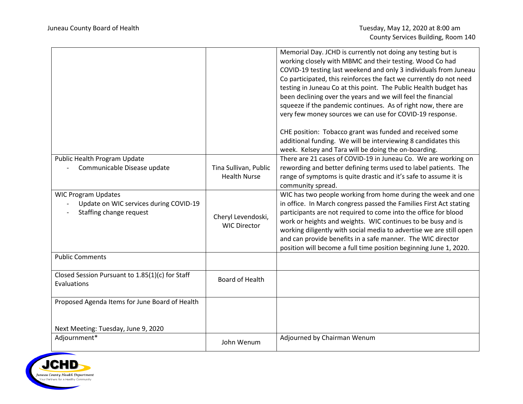|                                                                      |                        | Memorial Day. JCHD is currently not doing any testing but is<br>working closely with MBMC and their testing. Wood Co had<br>COVID-19 testing last weekend and only 3 individuals from Juneau<br>Co participated, this reinforces the fact we currently do not need<br>testing in Juneau Co at this point. The Public Health budget has<br>been declining over the years and we will feel the financial<br>squeeze if the pandemic continues. As of right now, there are<br>very few money sources we can use for COVID-19 response.<br>CHE position: Tobacco grant was funded and received some<br>additional funding. We will be interviewing 8 candidates this<br>week. Kelsey and Tara will be doing the on-boarding. |
|----------------------------------------------------------------------|------------------------|--------------------------------------------------------------------------------------------------------------------------------------------------------------------------------------------------------------------------------------------------------------------------------------------------------------------------------------------------------------------------------------------------------------------------------------------------------------------------------------------------------------------------------------------------------------------------------------------------------------------------------------------------------------------------------------------------------------------------|
| Public Health Program Update                                         |                        | There are 21 cases of COVID-19 in Juneau Co. We are working on                                                                                                                                                                                                                                                                                                                                                                                                                                                                                                                                                                                                                                                           |
| Communicable Disease update                                          | Tina Sullivan, Public  | rewording and better defining terms used to label patients. The                                                                                                                                                                                                                                                                                                                                                                                                                                                                                                                                                                                                                                                          |
|                                                                      | <b>Health Nurse</b>    | range of symptoms is quite drastic and it's safe to assume it is                                                                                                                                                                                                                                                                                                                                                                                                                                                                                                                                                                                                                                                         |
|                                                                      |                        | community spread.                                                                                                                                                                                                                                                                                                                                                                                                                                                                                                                                                                                                                                                                                                        |
| <b>WIC Program Updates</b><br>Update on WIC services during COVID-19 |                        | WIC has two people working from home during the week and one<br>in office. In March congress passed the Families First Act stating                                                                                                                                                                                                                                                                                                                                                                                                                                                                                                                                                                                       |
| Staffing change request                                              |                        | participants are not required to come into the office for blood                                                                                                                                                                                                                                                                                                                                                                                                                                                                                                                                                                                                                                                          |
|                                                                      | Cheryl Levendoski,     | work or heights and weights. WIC continues to be busy and is                                                                                                                                                                                                                                                                                                                                                                                                                                                                                                                                                                                                                                                             |
|                                                                      | <b>WIC Director</b>    | working diligently with social media to advertise we are still open                                                                                                                                                                                                                                                                                                                                                                                                                                                                                                                                                                                                                                                      |
|                                                                      |                        | and can provide benefits in a safe manner. The WIC director                                                                                                                                                                                                                                                                                                                                                                                                                                                                                                                                                                                                                                                              |
|                                                                      |                        | position will become a full time position beginning June 1, 2020.                                                                                                                                                                                                                                                                                                                                                                                                                                                                                                                                                                                                                                                        |
| <b>Public Comments</b>                                               |                        |                                                                                                                                                                                                                                                                                                                                                                                                                                                                                                                                                                                                                                                                                                                          |
| Closed Session Pursuant to 1.85(1)(c) for Staff<br>Evaluations       | <b>Board of Health</b> |                                                                                                                                                                                                                                                                                                                                                                                                                                                                                                                                                                                                                                                                                                                          |
|                                                                      |                        |                                                                                                                                                                                                                                                                                                                                                                                                                                                                                                                                                                                                                                                                                                                          |
| Proposed Agenda Items for June Board of Health                       |                        |                                                                                                                                                                                                                                                                                                                                                                                                                                                                                                                                                                                                                                                                                                                          |
|                                                                      |                        |                                                                                                                                                                                                                                                                                                                                                                                                                                                                                                                                                                                                                                                                                                                          |
| Next Meeting: Tuesday, June 9, 2020                                  |                        |                                                                                                                                                                                                                                                                                                                                                                                                                                                                                                                                                                                                                                                                                                                          |
| Adjournment*                                                         | John Wenum             | Adjourned by Chairman Wenum                                                                                                                                                                                                                                                                                                                                                                                                                                                                                                                                                                                                                                                                                              |